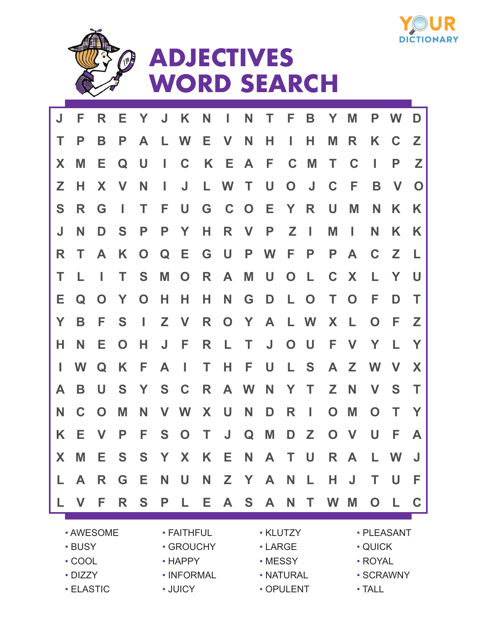



## **ADJECTIVES WORD SEARCH**

| J  | F         | R           | Е           | $\mathbf{Y}$ | $\mathsf{J}$ | K                           | N  | L              | N            | Τ   | F            | B              | Y           | M            | P           | W           | D           |  |
|----|-----------|-------------|-------------|--------------|--------------|-----------------------------|----|----------------|--------------|-----|--------------|----------------|-------------|--------------|-------------|-------------|-------------|--|
| Т  | P         | B           | P           | A            | L.           | W                           | E. | V              | N            | Н   | L            | н              | M           | R            | K           | C           | Z           |  |
| X  | M         | Е           | Q           | U            | L            | $\mathbf C$                 |    | K E            | A            | F   | C            | M              | T.          | C            | I           | P           | Z           |  |
| Z  | н         | X           | V           | N            | L            | J                           | L. | <b>W</b>       | T            | U   | $\mathbf O$  | $\mathsf{J}$   | $\mathbf C$ | F            | B           | V           | $\mathbf O$ |  |
| S  | R         | G           | L           | Т            | F            | U                           | G  | $C$ O          |              | Е   | $\mathbf{Y}$ | R              | U           | M            | N           | K           | K           |  |
| J  | N         | D           | S           | P            | P            | Y                           | н  | R              | V            | P   | Z            | $\mathbb{R}^n$ | M           | L            | N           | K           | K           |  |
| R  | т         | A           | K           | $\mathbf O$  | Q            | Е                           | G  | $\cup$         | P            | W   | F            | P              | P           | A            | C           | $\mathbb Z$ | L           |  |
| Т  |           | I           | Т           | S            | M            | $\mathbf O$                 | R  | A              | M            | U   | $\mathbf O$  | L.             | C           | X            | L.          | Y           | U           |  |
| Е  | Q         | $\mathbf O$ | Y           | $\mathbf O$  | н            | н                           | н  | N              | G            | D   | L.           | $\mathbf O$    | T.          | $\mathbf{O}$ | F           | D           | т           |  |
| Y  | B         | F           | S           | I            | Z            | $\mathbf{V}$                | R  | $\overline{O}$ | $\mathbf{Y}$ | A   |              | L W            | X           | - L          | O           | E           | Z           |  |
| н  | N         | Е           | $\mathbf O$ | Н            | J            | F                           | R  | L.             | T            | J   | $\mathbf O$  | $\cup$         | F           | V            | Y           | L           | Y           |  |
| L  | W         | Q           | K           | F            | A            | $\mathcal{L}_{\mathcal{A}}$ | T. | H.             | F            | U   | L.           | S              |             | A Z          | W           | $\mathbf V$ | X           |  |
| A  | B         | U           | S           | Y            | S            | $\mathbf C$                 | R  |                | A W          | N   | Y            | T.             | Z           | N            | V           | S           | Т           |  |
| N  | C         | $\mathbf O$ | M           | N            | <b>V</b>     | W                           | X  | $\bigcup$      | N            | D   | R            | L              | $\mathbf O$ | M            | $\mathbf O$ | Т           | Y           |  |
| K  | Е         | V           | P           | F            | S            | $\mathbf{O}$                | T. | $\mathsf J$    | Q            | M   | D            | Z              | $\mathbf O$ | <b>V</b>     | U           | F           | A           |  |
| X. | M         | Е.          | S           | S            | Y            | X.                          | K  | Е.             |              | N A | $\top$       | $\cup$         |             | R A          | L           | W           | J           |  |
| L  | A         | R           | G           | Е.           | <b>N</b>     | U                           | N  |                | Z Y A        |     | N            | $\mathbb{L}$   | н           | J            | Т           | U           | F           |  |
| L  | V         | F           | R           | S            | P            | L.                          | Е. | $\mathsf{A}$   | S            | A   | N            | T.             | W           | M            | O           |             | C           |  |
|    |           |             |             |              |              |                             |    |                |              |     |              |                |             |              |             |             |             |  |
|    | • AWESOME |             |             |              |              | • FAITHFUL                  |    |                | · KLUTZY     |     |              |                |             | • PLEASANT   |             |             |             |  |

- BUSY
- COOL
- DIZZY
- ELASTIC
- INFORMAL • JUICY

• HAPPY

- GROUCHY LARGE
	- MESSY
	- NATURAL
	- OPULENT
- QUICK
- ROYAL
- SCRAWNY
	- TALL